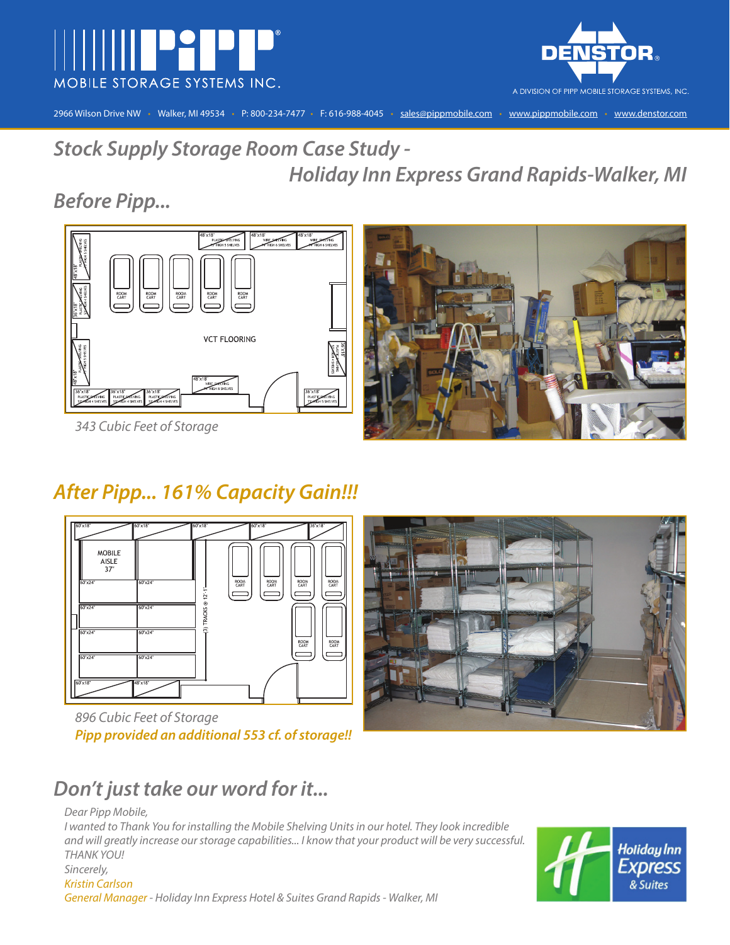



2966 Wilson Drive NW • Walker, MI 49534 • P: 800-234-7477 • F: 616-988-4045 • sales@pippmobile.com • www.pippmobile.com • www.denstor.com

**Stock Supply Storage Room Case Study - Holiday Inn Express Grand Rapids-Walker, MI**

## **Before Pipp...**





343 Cubic Feet of Storage

# **After Pipp... 161% Capacity Gain!!!**



896 Cubic Feet of Storage **Pipp provided an additional 553 cf. of storage!!**



# **Don't just take our word for it...**

Dear Pipp Mobile, I wanted to Thank You for installing the Mobile Shelving Units in our hotel. They look incredible and will greatly increase our storage capabilities... I know that your product will be very successful. THANK YOU! Sincerely, Kristin Carlson General Manager - Holiday Inn Express Hotel & Suites Grand Rapids - Walker, MI